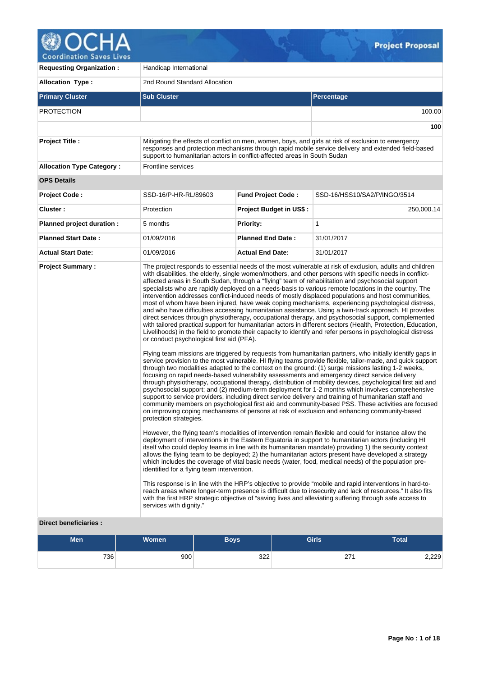

**Requesting Organization :** Handicap International **Allocation Type :** 2nd Round Standard Allocation **Primary Cluster Sub Cluster Sub Cluster** Sub Cluster Sub Cluster Sub Cluster Sub Cluster Sub Cluster Sub Cluster PROTECTION 100.00 **100 Project Title :** Mitigating the effects of conflict on men, women, boys, and girls at risk of exclusion to emergency responses and protection mechanisms through rapid mobile service delivery and extended field-based support to humanitarian actors in conflict-affected areas in South Sudan **Allocation Type Category :** Frontline services **OPS Details Project Code :** SSD-16/P-HR-RL/89603 **Fund Project Code :** SSD-16/HSS10/SA2/P/INGO/3514 **Cluster :** 250,000.14 **Protection Project Budget in US\$ :** 250,000.14 **Planned project duration :** 5 months **Priority: Priority:** 1 **Planned Start Date :** 01/09/2016 **Planned End Date :** 31/01/2017 **Actual Start Date:** 01/09/2016 **Actual End Date:** 31/01/2017 **Project Summary :** The project responds to essential needs of the most vulnerable at risk of exclusion, adults and children with disabilities, the elderly, single women/mothers, and other persons with specific needs in conflictaffected areas in South Sudan, through a "flying" team of rehabilitation and psychosocial support specialists who are rapidly deployed on a needs-basis to various remote locations in the country. The intervention addresses conflict-induced needs of mostly displaced populations and host communities, most of whom have been injured, have weak coping mechanisms, experiencing psychological distress, and who have difficulties accessing humanitarian assistance. Using a twin-track approach, HI provides direct services through physiotherapy, occupational therapy, and psychosocial support, complemented with tailored practical support for humanitarian actors in different sectors (Health, Protection, Education, Livelihoods) in the field to promote their capacity to identify and refer persons in psychological distress or conduct psychological first aid (PFA). Flying team missions are triggered by requests from humanitarian partners, who initially identify gaps in service provision to the most vulnerable. HI flying teams provide flexible, tailor-made, and quick support through two modalities adapted to the context on the ground: (1) surge missions lasting 1-2 weeks, focusing on rapid needs-based vulnerability assessments and emergency direct service delivery through physiotherapy, occupational therapy, distribution of mobility devices, psychological first aid and psychosocial support; and (2) medium-term deployment for 1-2 months which involves comprehensive support to service providers, including direct service delivery and training of humanitarian staff and community members on psychological first aid and community-based PSS. These activities are focused on improving coping mechanisms of persons at risk of exclusion and enhancing community-based protection strategies. However, the flying team's modalities of intervention remain flexible and could for instance allow the deployment of interventions in the Eastern Equatoria in support to humanitarian actors (including HI itself who could deploy teams in line with its humanitarian mandate) providing 1) the security context allows the flying team to be deployed; 2) the humanitarian actors present have developed a strategy which includes the coverage of vital basic needs (water, food, medical needs) of the population preidentified for a flying team intervention. This response is in line with the HRP's objective to provide "mobile and rapid interventions in hard-toreach areas where longer-term presence is difficult due to insecurity and lack of resources." It also fits with the first HRP strategic objective of "saving lives and alleviating suffering through safe access to services with dignity."

# **Direct beneficiaries :**

| <b>Men</b> | <b>Women</b> | Boys' | <b>Girls</b>      | Total |
|------------|--------------|-------|-------------------|-------|
| 736        | 900          | 322   | 274<br>$\epsilon$ | 2,229 |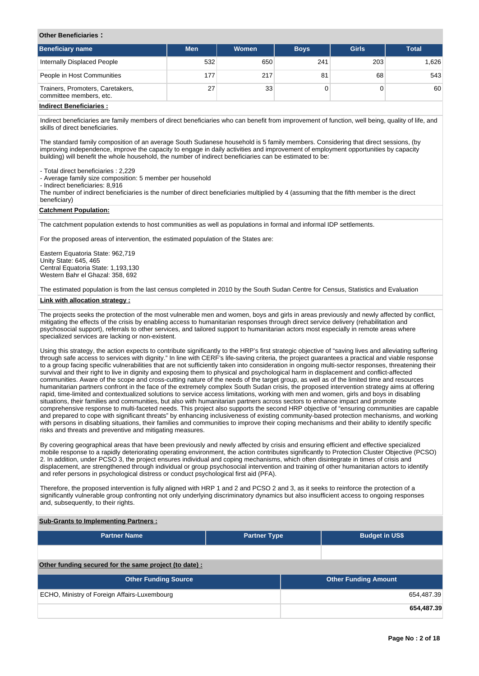#### **Other Beneficiaries :**

| <b>Beneficiary name</b>                                     | <b>Men</b> | <b>Women</b> | <b>Boys</b> | <b>Girls</b> | <b>Total</b> |
|-------------------------------------------------------------|------------|--------------|-------------|--------------|--------------|
| Internally Displaced People                                 | 532        | 650          | 241         | 203          | 1,626        |
| People in Host Communities                                  | 177        | 217          | 81          | 68           | 543          |
| Trainers, Promoters, Caretakers,<br>committee members, etc. | 27         | 33           |             |              | 60           |
| literative and interest of the football and                 |            |              |             |              |              |

#### **Indirect Beneficiaries :**

Indirect beneficiaries are family members of direct beneficiaries who can benefit from improvement of function, well being, quality of life, and skills of direct beneficiaries.

The standard family composition of an average South Sudanese household is 5 family members. Considering that direct sessions, (by improving independence, improve the capacity to engage in daily activities and improvement of employment opportunities by capacity building) will benefit the whole household, the number of indirect beneficiaries can be estimated to be:

- Total direct beneficiaries : 2,229

- Average family size composition: 5 member per household

- Indirect beneficiaries: 8,916

The number of indirect beneficiaries is the number of direct beneficiaries multiplied by 4 (assuming that the fifth member is the direct beneficiary)

#### **Catchment Population:**

The catchment population extends to host communities as well as populations in formal and informal IDP settlements.

For the proposed areas of intervention, the estimated population of the States are:

Eastern Equatoria State: 962,719 Unity State: 645, 465 Central Equatoria State: 1,193,130 Western Bahr el Ghazal: 358, 692

The estimated population is from the last census completed in 2010 by the South Sudan Centre for Census, Statistics and Evaluation

#### **Link with allocation strategy :**

The projects seeks the protection of the most vulnerable men and women, boys and girls in areas previously and newly affected by conflict, mitigating the effects of the crisis by enabling access to humanitarian responses through direct service delivery (rehabilitation and psychosocial support), referrals to other services, and tailored support to humanitarian actors most especially in remote areas where specialized services are lacking or non-existent.

Using this strategy, the action expects to contribute significantly to the HRP's first strategic objective of "saving lives and alleviating suffering through safe access to services with dignity." In line with CERF's life-saving criteria, the project guarantees a practical and viable response to a group facing specific vulnerabilities that are not sufficiently taken into consideration in ongoing multi-sector responses, threatening their survival and their right to live in dignity and exposing them to physical and psychological harm in displacement and conflict-affected communities. Aware of the scope and cross-cutting nature of the needs of the target group, as well as of the limited time and resources humanitarian partners confront in the face of the extremely complex South Sudan crisis, the proposed intervention strategy aims at offering rapid, time-limited and contextualized solutions to service access limitations, working with men and women, girls and boys in disabling situations, their families and communities, but also with humanitarian partners across sectors to enhance impact and promote comprehensive response to multi-faceted needs. This project also supports the second HRP objective of "ensuring communities are capable and prepared to cope with significant threats" by enhancing inclusiveness of existing community-based protection mechanisms, and working with persons in disabling situations, their families and communities to improve their coping mechanisms and their ability to identify specific risks and threats and preventive and mitigating measures.

By covering geographical areas that have been previously and newly affected by crisis and ensuring efficient and effective specialized mobile response to a rapidly deteriorating operating environment, the action contributes significantly to Protection Cluster Objective (PCSO) 2. In addition, under PCSO 3, the project ensures individual and coping mechanisms, which often disintegrate in times of crisis and displacement, are strengthened through individual or group psychosocial intervention and training of other humanitarian actors to identify and refer persons in psychological distress or conduct psychological first aid (PFA).

Therefore, the proposed intervention is fully aligned with HRP 1 and 2 and PCSO 2 and 3, as it seeks to reinforce the protection of a significantly vulnerable group confronting not only underlying discriminatory dynamics but also insufficient access to ongoing responses and, subsequently, to their rights.

#### **Sub-Grants to Implementing Partners :**

| <b>Partner Name</b>                                   | <b>Partner Type</b> |  | <b>Budget in US\$</b>       |  |
|-------------------------------------------------------|---------------------|--|-----------------------------|--|
|                                                       |                     |  |                             |  |
| Other funding secured for the same project (to date): |                     |  |                             |  |
| <b>Other Funding Source</b>                           |                     |  | <b>Other Funding Amount</b> |  |
| ECHO, Ministry of Foreign Affairs-Luxembourg          |                     |  | 654,487.39                  |  |

**654,487.39**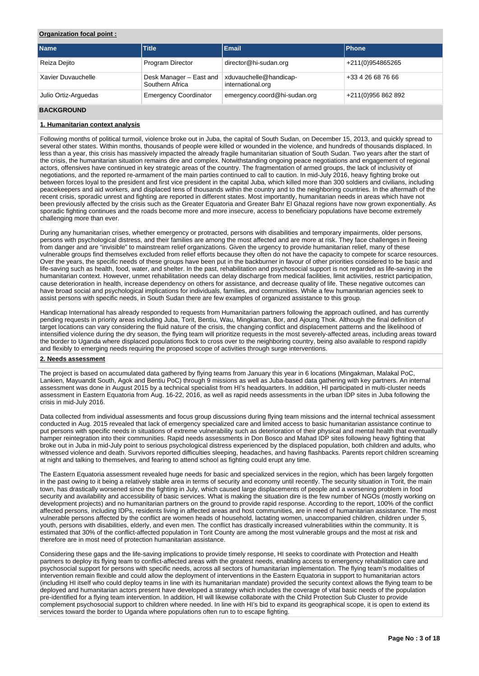## **Organization focal point :**

| <b>Name</b>          | Title                                      | Email                                       | <b>Phone</b>       |
|----------------------|--------------------------------------------|---------------------------------------------|--------------------|
| Reiza Dejito         | Program Director                           | director@hi-sudan.org                       | +211(0)954865265   |
| Xavier Duvauchelle   | Desk Manager - East and<br>Southern Africa | xduvauchelle@handicap-<br>international.org | +33 4 26 68 76 66  |
| Julio Ortiz-Arguedas | <b>Emergency Coordinator</b>               | emergency.coord@hi-sudan.org                | +211(0)956 862 892 |

#### **BACKGROUND**

## **1. Humanitarian context analysis**

Following months of political turmoil, violence broke out in Juba, the capital of South Sudan, on December 15, 2013, and quickly spread to several other states. Within months, thousands of people were killed or wounded in the violence, and hundreds of thousands displaced. In less than a year, this crisis has massively impacted the already fragile humanitarian situation of South Sudan. Two years after the start of the crisis, the humanitarian situation remains dire and complex. Notwithstanding ongoing peace negotiations and engagement of regional actors, offensives have continued in key strategic areas of the country. The fragmentation of armed groups, the lack of inclusivity of negotiations, and the reported re-armament of the main parties continued to call to caution. In mid-July 2016, heavy fighting broke out between forces loyal to the president and first vice president in the capital Juba, which killed more than 300 soldiers and civilians, including peacekeepers and aid workers, and displaced tens of thousands within the country and to the neighboring countries. In the aftermath of the recent crisis, sporadic unrest and fighting are reported in different states. Most importantly, humanitarian needs in areas which have not been previously affected by the crisis such as the Greater Equatoria and Greater Bahr El Ghazal regions have now grown exponentially. As sporadic fighting continues and the roads become more and more insecure, access to beneficiary populations have become extremely challenging more than ever.

During any humanitarian crises, whether emergency or protracted, persons with disabilities and temporary impairments, older persons, persons with psychological distress, and their families are among the most affected and are more at risk. They face challenges in fleeing from danger and are "invisible" to mainstream relief organizations. Given the urgency to provide humanitarian relief, many of these vulnerable groups find themselves excluded from relief efforts because they often do not have the capacity to compete for scarce resources. Over the years, the specific needs of these groups have been put in the backburner in favour of other priorities considered to be basic and life-saving such as health, food, water, and shelter. In the past, rehabilitation and psychosocial support is not regarded as life-saving in the humanitarian context. However, unmet rehabilitation needs can delay discharge from medical facilities, limit activities, restrict participation, cause deterioration in health, increase dependency on others for assistance, and decrease quality of life. These negative outcomes can have broad social and psychological implications for individuals, families, and communities. While a few humanitarian agencies seek to assist persons with specific needs, in South Sudan there are few examples of organized assistance to this group.

Handicap International has already responded to requests from Humanitarian partners following the approach outlined, and has currently pending requests in priority areas including Juba, Torit, Bentiu, Wau, Mingkaman, Bor, and Ajoung Thok. Although the final definition of target locations can vary considering the fluid nature of the crisis, the changing conflict and displacement patterns and the likelihood of intensified violence during the dry season, the flying team will prioritize requests in the most severely-affected areas, including areas toward the border to Uganda where displaced populations flock to cross over to the neighboring country, being also available to respond rapidly and flexibly to emerging needs requiring the proposed scope of activities through surge interventions.

#### **2. Needs assessment**

The project is based on accumulated data gathered by flying teams from January this year in 6 locations (Mingakman, Malakal PoC, Lankien, Mayuandit South, Agok and Bentiu PoC) through 9 missions as well as Juba-based data gathering with key partners. An internal assessment was done in August 2015 by a technical specialist from HI's headquarters. In addition, HI participated in multi-cluster needs assessment in Eastern Equatoria from Aug. 16-22, 2016, as well as rapid needs assessments in the urban IDP sites in Juba following the crisis in mid-July 2016.

Data collected from individual assessments and focus group discussions during flying team missions and the internal technical assessment conducted in Aug. 2015 revealed that lack of emergency specialized care and limited access to basic humanitarian assistance continue to put persons with specific needs in situations of extreme vulnerability such as deterioration of their physical and mental health that eventually hamper reintegration into their communities. Rapid needs assessments in Don Bosco and Mahad IDP sites following heavy fighting that broke out in Juba in mid-July point to serious psychological distress experienced by the displaced population, both children and adults, who witnessed violence and death. Survivors reported difficulties sleeping, headaches, and having flashbacks. Parents report children screaming at night and talking to themselves, and fearing to attend school as fighting could erupt any time.

The Eastern Equatoria assessment revealed huge needs for basic and specialized services in the region, which has been largely forgotten in the past owing to it being a relatively stable area in terms of security and economy until recently. The security situation in Torit, the main town, has drastically worsened since the fighting in July, which caused large displacements of people and a worsening problem in food security and availability and accessibility of basic services. What is making the situation dire is the few number of NGOs (mostly working on development projects) and no humanitarian partners on the ground to provide rapid response. According to the report, 100% of the conflict affected persons, including IDPs, residents living in affected areas and host communities, are in need of humanitarian assistance. The most vulnerable persons affected by the conflict are women heads of household, lactating women, unaccompanied children, children under 5, youth, persons with disabilities, elderly, and even men. The conflict has drastically increased vulnerabilities within the community. It is estimated that 30% of the conflict-affected population in Torit County are among the most vulnerable groups and the most at risk and therefore are in most need of protection humanitarian assistance.

Considering these gaps and the life-saving implications to provide timely response, HI seeks to coordinate with Protection and Health partners to deploy its flying team to conflict-affected areas with the greatest needs, enabling access to emergency rehabilitation care and psychosocial support for persons with specific needs, across all sectors of humanitarian implementation. The flying team's modalities of intervention remain flexible and could allow the deployment of interventions in the Eastern Equatoria in support to humanitarian actors (including HI itself who could deploy teams in line with its humanitarian mandate) provided the security context allows the flying team to be deployed and humanitarian actors present have developed a strategy which includes the coverage of vital basic needs of the population pre-identified for a flying team intervention. In addition, HI will likewise collaborate with the Child Protection Sub Cluster to provide complement psychosocial support to children where needed. In line with HI's bid to expand its geographical scope, it is open to extend its services toward the border to Uganda where populations often run to to escape fighting.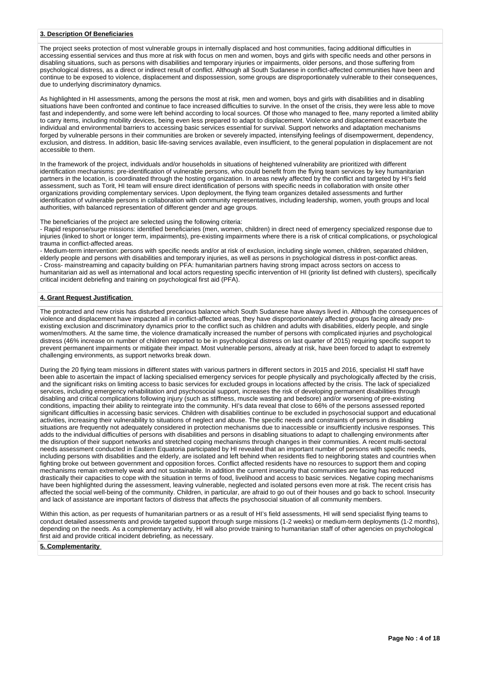#### **3. Description Of Beneficiaries**

The project seeks protection of most vulnerable groups in internally displaced and host communities, facing additional difficulties in accessing essential services and thus more at risk with focus on men and women, boys and girls with specific needs and other persons in disabling situations, such as persons with disabilities and temporary injuries or impairments, older persons, and those suffering from psychological distress, as a direct or indirect result of conflict. Although all South Sudanese in conflict-affected communities have been and continue to be exposed to violence, displacement and dispossession, some groups are disproportionately vulnerable to their consequences, due to underlying discriminatory dynamics.

As highlighted in HI assessments, among the persons the most at risk, men and women, boys and girls with disabilities and in disabling situations have been confronted and continue to face increased difficulties to survive. In the onset of the crisis, they were less able to move fast and independently, and some were left behind according to local sources. Of those who managed to flee, many reported a limited ability to carry items, including mobility devices, being even less prepared to adapt to displacement. Violence and displacement exacerbate the individual and environmental barriers to accessing basic services essential for survival. Support networks and adaptation mechanisms forged by vulnerable persons in their communities are broken or severely impacted, intensifying feelings of disempowerment, dependency, exclusion, and distress. In addition, basic life-saving services available, even insufficient, to the general population in displacement are not accessible to them.

In the framework of the project, individuals and/or households in situations of heightened vulnerability are prioritized with different identification mechanisms: pre-identification of vulnerable persons, who could benefit from the flying team services by key humanitarian partners in the location, is coordinated through the hosting organization. In areas newly affected by the conflict and targeted by HI's field assessment, such as Torit, HI team will ensure direct identification of persons with specific needs in collaboration with onsite other organizations providing complementary services. Upon deployment, the flying team organizes detailed assessments and further identification of vulnerable persons in collaboration with community representatives, including leadership, women, youth groups and local authorities, with balanced representation of different gender and age groups.

The beneficiaries of the project are selected using the following criteria:

- Rapid response/surge missions: identified beneficiaries (men, women, children) in direct need of emergency specialized response due to injuries (linked to short or longer term, impairments), pre-existing impairments where there is a risk of critical complications, or psychological trauma in conflict-affected areas.

- Medium-term intervention: persons with specific needs and/or at risk of exclusion, including single women, children, separated children, elderly people and persons with disabilities and temporary injuries, as well as persons in psychological distress in post-conflict areas. - Cross- mainstreaming and capacity building on PFA: humanitarian partners having strong impact across sectors on access to humanitarian aid as well as international and local actors requesting specific intervention of HI (priority list defined with clusters), specifically critical incident debriefing and training on psychological first aid (PFA).

## **4. Grant Request Justification**

The protracted and new crisis has disturbed precarious balance which South Sudanese have always lived in. Although the consequences of violence and displacement have impacted all in conflict-affected areas, they have disproportionately affected groups facing already preexisting exclusion and discriminatory dynamics prior to the conflict such as children and adults with disabilities, elderly people, and single women/mothers. At the same time, the violence dramatically increased the number of persons with complicated injuries and psychological distress (46% increase on number of children reported to be in psychological distress on last quarter of 2015) requiring specific support to prevent permanent impairments or mitigate their impact. Most vulnerable persons, already at risk, have been forced to adapt to extremely challenging environments, as support networks break down.

During the 20 flying team missions in different states with various partners in different sectors in 2015 and 2016, specialist HI staff have been able to ascertain the impact of lacking specialised emergency services for people physically and psychologically affected by the crisis, and the significant risks on limiting access to basic services for excluded groups in locations affected by the crisis. The lack of specialized services, including emergency rehabilitation and psychosocial support, increases the risk of developing permanent disabilities through disabling and critical complications following injury (such as stiffness, muscle wasting and bedsore) and/or worsening of pre-existing conditions, impacting their ability to reintegrate into the community. HI's data reveal that close to 66% of the persons assessed reported significant difficulties in accessing basic services. Children with disabilities continue to be excluded in psychosocial support and educational activities, increasing their vulnerability to situations of neglect and abuse. The specific needs and constraints of persons in disabling situations are frequently not adequately considered in protection mechanisms due to inaccessible or insufficiently inclusive responses. This adds to the individual difficulties of persons with disabilities and persons in disabling situations to adapt to challenging environments after the disruption of their support networks and stretched coping mechanisms through changes in their communities. A recent multi-sectoral needs assessment conducted in Eastern Equatoria participated by HI revealed that an important number of persons with specific needs, including persons with disabilities and the elderly, are isolated and left behind when residents fled to neighboring states and countries when fighting broke out between government and opposition forces. Conflict affected residents have no resources to support them and coping mechanisms remain extremely weak and not sustainable. In addition the current insecurity that communities are facing has reduced drastically their capacities to cope with the situation in terms of food, livelihood and access to basic services. Negative coping mechanisms have been highlighted during the assessment, leaving vulnerable, neglected and isolated persons even more at risk. The recent crisis has affected the social well-being of the community. Children, in particular, are afraid to go out of their houses and go back to school. Insecurity and lack of assistance are important factors of distress that affects the psychosocial situation of all community members.

Within this action, as per requests of humanitarian partners or as a result of HI's field assessments, HI will send specialist flying teams to conduct detailed assessments and provide targeted support through surge missions (1-2 weeks) or medium-term deployments (1-2 months), depending on the needs. As a complementary activity, HI will also provide training to humanitarian staff of other agencies on psychological first aid and provide critical incident debriefing, as necessary.

#### **5. Complementarity**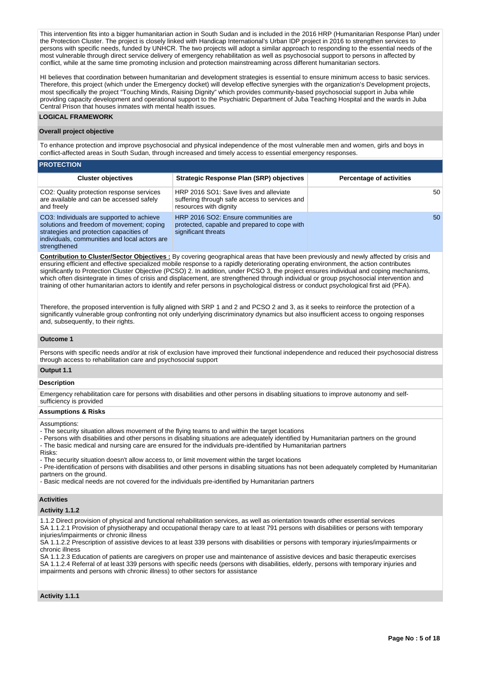This intervention fits into a bigger humanitarian action in South Sudan and is included in the 2016 HRP (Humanitarian Response Plan) under the Protection Cluster. The project is closely linked with Handicap International's Urban IDP project in 2016 to strengthen services to persons with specific needs, funded by UNHCR. The two projects will adopt a similar approach to responding to the essential needs of the most vulnerable through direct service delivery of emergency rehabilitation as well as psychosocial support to persons in affected by conflict, while at the same time promoting inclusion and protection mainstreaming across different humanitarian sectors.

HI believes that coordination between humanitarian and development strategies is essential to ensure minimum access to basic services. Therefore, this project (which under the Emergency docket) will develop effective synergies with the organization's Development projects, most specifically the project "Touching Minds, Raising Dignity" which provides community-based psychosocial support in Juba while providing capacity development and operational support to the Psychiatric Department of Juba Teaching Hospital and the wards in Juba Central Prison that houses inmates with mental health issues.

#### **LOGICAL FRAMEWORK**

#### **Overall project objective**

To enhance protection and improve psychosocial and physical independence of the most vulnerable men and women, girls and boys in conflict-affected areas in South Sudan, through increased and timely access to essential emergency responses.

#### **PROTECTION**

| <b>Cluster objectives</b>                                                                                                                                                                          | <b>Strategic Response Plan (SRP) objectives</b>                                                                   | <b>Percentage of activities</b> |
|----------------------------------------------------------------------------------------------------------------------------------------------------------------------------------------------------|-------------------------------------------------------------------------------------------------------------------|---------------------------------|
| CO2: Quality protection response services<br>are available and can be accessed safely<br>and freely                                                                                                | HRP 2016 SO1: Save lives and alleviate<br>suffering through safe access to services and<br>resources with dignity | 50                              |
| CO3: Individuals are supported to achieve<br>solutions and freedom of movement; coping<br>strategies and protection capacities of<br>individuals, communities and local actors are<br>strengthened | HRP 2016 SO2: Ensure communities are<br>protected, capable and prepared to cope with<br>significant threats       | 50 <sup>1</sup>                 |

**Contribution to Cluster/Sector Objectives :** By covering geographical areas that have been previously and newly affected by crisis and ensuring efficient and effective specialized mobile response to a rapidly deteriorating operating environment, the action contributes significantly to Protection Cluster Objective (PCSO) 2. In addition, under PCSO 3, the project ensures individual and coping mechanisms, which often disintegrate in times of crisis and displacement, are strengthened through individual or group psychosocial intervention and training of other humanitarian actors to identify and refer persons in psychological distress or conduct psychological first aid (PFA).

Therefore, the proposed intervention is fully aligned with SRP 1 and 2 and PCSO 2 and 3, as it seeks to reinforce the protection of a significantly vulnerable group confronting not only underlying discriminatory dynamics but also insufficient access to ongoing responses and, subsequently, to their rights.

#### **Outcome 1**

Persons with specific needs and/or at risk of exclusion have improved their functional independence and reduced their psychosocial distress through access to rehabilitation care and psychosocial support

## **Output 1.1**

## **Description**

Emergency rehabilitation care for persons with disabilities and other persons in disabling situations to improve autonomy and selfsufficiency is provided

#### **Assumptions & Risks**

Assumptions:

- The security situation allows movement of the flying teams to and within the target locations
- Persons with disabilities and other persons in disabling situations are adequately identified by Humanitarian partners on the ground
- The basic medical and nursing care are ensured for the individuals pre-identified by Humanitarian partners

Risks:

- The security situation doesn't allow access to, or limit movement within the target locations

- Pre-identification of persons with disabilities and other persons in disabling situations has not been adequately completed by Humanitarian partners on the ground.

- Basic medical needs are not covered for the individuals pre-identified by Humanitarian partners

#### **Activities**

## **Activity 1.1.2**

1.1.2 Direct provision of physical and functional rehabilitation services, as well as orientation towards other essential services

SA 1.1.2.1 Provision of physiotherapy and occupational therapy care to at least 791 persons with disabilities or persons with temporary injuries/impairments or chronic illness

SA 1.1.2.2 Prescription of assistive devices to at least 339 persons with disabilities or persons with temporary injuries/impairments or chronic illness

SA 1.1.2.3 Education of patients are caregivers on proper use and maintenance of assistive devices and basic therapeutic exercises SA 1.1.2.4 Referral of at least 339 persons with specific needs (persons with disabilities, elderly, persons with temporary injuries and impairments and persons with chronic illness) to other sectors for assistance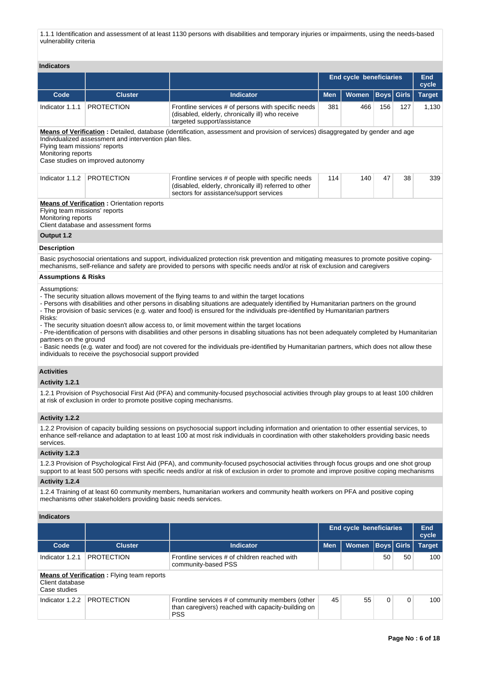1.1.1 Identification and assessment of at least 1130 persons with disabilities and temporary injuries or impairments, using the needs-based vulnerability criteria

| <b>Indicators</b> |
|-------------------|
|-------------------|

|                                                                                                                                                                                                                                                                                                                                                                                                                                                                                                                                                                                                                                                                                                                                                                                                                                                                                                |                                                                      |                                                                                                                                                                                                                                                                                            | <b>End cycle beneficiaries</b> |                                |              |              | <b>End</b><br>cycle |  |
|------------------------------------------------------------------------------------------------------------------------------------------------------------------------------------------------------------------------------------------------------------------------------------------------------------------------------------------------------------------------------------------------------------------------------------------------------------------------------------------------------------------------------------------------------------------------------------------------------------------------------------------------------------------------------------------------------------------------------------------------------------------------------------------------------------------------------------------------------------------------------------------------|----------------------------------------------------------------------|--------------------------------------------------------------------------------------------------------------------------------------------------------------------------------------------------------------------------------------------------------------------------------------------|--------------------------------|--------------------------------|--------------|--------------|---------------------|--|
| Code                                                                                                                                                                                                                                                                                                                                                                                                                                                                                                                                                                                                                                                                                                                                                                                                                                                                                           | <b>Cluster</b>                                                       | <b>Indicator</b>                                                                                                                                                                                                                                                                           | <b>Men</b>                     | <b>Women</b>                   | $ $ Boys $ $ | <b>Girls</b> | <b>Target</b>       |  |
| Indicator 1.1.1                                                                                                                                                                                                                                                                                                                                                                                                                                                                                                                                                                                                                                                                                                                                                                                                                                                                                | <b>PROTECTION</b>                                                    | Frontline services # of persons with specific needs<br>(disabled, elderly, chronically ill) who receive<br>targeted support/assistance                                                                                                                                                     | 381                            | 466                            | 156          | 127          | 1,130               |  |
| <b>Means of Verification</b> : Detailed, database (identification, assessment and provision of services) disaggregated by gender and age<br>Individualized assessment and intervention plan files.<br>Flying team missions' reports<br>Monitoring reports<br>Case studies on improved autonomy                                                                                                                                                                                                                                                                                                                                                                                                                                                                                                                                                                                                 |                                                                      |                                                                                                                                                                                                                                                                                            |                                |                                |              |              |                     |  |
| Indicator 1.1.2                                                                                                                                                                                                                                                                                                                                                                                                                                                                                                                                                                                                                                                                                                                                                                                                                                                                                | <b>PROTECTION</b>                                                    | Frontline services # of people with specific needs<br>(disabled, elderly, chronically ill) referred to other<br>sectors for assistance/support services                                                                                                                                    | 114                            | 140                            | 47           | 38           | 339                 |  |
| <b>Means of Verification:</b> Orientation reports<br>Flying team missions' reports<br>Monitoring reports<br>Client database and assessment forms                                                                                                                                                                                                                                                                                                                                                                                                                                                                                                                                                                                                                                                                                                                                               |                                                                      |                                                                                                                                                                                                                                                                                            |                                |                                |              |              |                     |  |
| Output 1.2<br><b>Description</b>                                                                                                                                                                                                                                                                                                                                                                                                                                                                                                                                                                                                                                                                                                                                                                                                                                                               |                                                                      |                                                                                                                                                                                                                                                                                            |                                |                                |              |              |                     |  |
|                                                                                                                                                                                                                                                                                                                                                                                                                                                                                                                                                                                                                                                                                                                                                                                                                                                                                                |                                                                      | Basic psychosocial orientations and support, individualized protection risk prevention and mitigating measures to promote positive coping-<br>mechanisms, self-reliance and safety are provided to persons with specific needs and/or at risk of exclusion and caregivers                  |                                |                                |              |              |                     |  |
| <b>Assumptions &amp; Risks</b>                                                                                                                                                                                                                                                                                                                                                                                                                                                                                                                                                                                                                                                                                                                                                                                                                                                                 |                                                                      |                                                                                                                                                                                                                                                                                            |                                |                                |              |              |                     |  |
| Assumptions:<br>- The security situation allows movement of the flying teams to and within the target locations<br>- Persons with disabilities and other persons in disabling situations are adequately identified by Humanitarian partners on the ground<br>- The provision of basic services (e.g. water and food) is ensured for the individuals pre-identified by Humanitarian partners<br>Risks:<br>- The security situation doesn't allow access to, or limit movement within the target locations<br>- Pre-identification of persons with disabilities and other persons in disabling situations has not been adequately completed by Humanitarian<br>partners on the ground<br>- Basic needs (e.g. water and food) are not covered for the individuals pre-identified by Humanitarian partners, which does not allow these<br>individuals to receive the psychosocial support provided |                                                                      |                                                                                                                                                                                                                                                                                            |                                |                                |              |              |                     |  |
| <b>Activities</b><br>Activity 1.2.1                                                                                                                                                                                                                                                                                                                                                                                                                                                                                                                                                                                                                                                                                                                                                                                                                                                            |                                                                      |                                                                                                                                                                                                                                                                                            |                                |                                |              |              |                     |  |
|                                                                                                                                                                                                                                                                                                                                                                                                                                                                                                                                                                                                                                                                                                                                                                                                                                                                                                | at risk of exclusion in order to promote positive coping mechanisms. | 1.2.1 Provision of Psychosocial First Aid (PFA) and community-focused psychosocial activities through play groups to at least 100 children                                                                                                                                                 |                                |                                |              |              |                     |  |
| Activity 1.2.2                                                                                                                                                                                                                                                                                                                                                                                                                                                                                                                                                                                                                                                                                                                                                                                                                                                                                 |                                                                      |                                                                                                                                                                                                                                                                                            |                                |                                |              |              |                     |  |
| services.                                                                                                                                                                                                                                                                                                                                                                                                                                                                                                                                                                                                                                                                                                                                                                                                                                                                                      |                                                                      | 1.2.2 Provision of capacity building sessions on psychosocial support including information and orientation to other essential services, to<br>enhance self-reliance and adaptation to at least 100 at most risk individuals in coordination with other stakeholders providing basic needs |                                |                                |              |              |                     |  |
| Activity 1.2.3                                                                                                                                                                                                                                                                                                                                                                                                                                                                                                                                                                                                                                                                                                                                                                                                                                                                                 |                                                                      |                                                                                                                                                                                                                                                                                            |                                |                                |              |              |                     |  |
|                                                                                                                                                                                                                                                                                                                                                                                                                                                                                                                                                                                                                                                                                                                                                                                                                                                                                                |                                                                      | 1.2.3 Provision of Psychological First Aid (PFA), and community-focused psychosocial activities through focus groups and one shot group<br>support to at least 500 persons with specific needs and/or at risk of exclusion in order to promote and improve positive coping mechanisms      |                                |                                |              |              |                     |  |
| Activity 1.2.4                                                                                                                                                                                                                                                                                                                                                                                                                                                                                                                                                                                                                                                                                                                                                                                                                                                                                 |                                                                      |                                                                                                                                                                                                                                                                                            |                                |                                |              |              |                     |  |
|                                                                                                                                                                                                                                                                                                                                                                                                                                                                                                                                                                                                                                                                                                                                                                                                                                                                                                | mechanisms other stakeholders providing basic needs services.        | 1.2.4 Training of at least 60 community members, humanitarian workers and community health workers on PFA and positive coping                                                                                                                                                              |                                |                                |              |              |                     |  |
| <b>Indicators</b>                                                                                                                                                                                                                                                                                                                                                                                                                                                                                                                                                                                                                                                                                                                                                                                                                                                                              |                                                                      |                                                                                                                                                                                                                                                                                            |                                |                                |              |              |                     |  |
|                                                                                                                                                                                                                                                                                                                                                                                                                                                                                                                                                                                                                                                                                                                                                                                                                                                                                                |                                                                      |                                                                                                                                                                                                                                                                                            |                                | <b>End cycle beneficiaries</b> |              |              | End<br>cycle        |  |
| Code                                                                                                                                                                                                                                                                                                                                                                                                                                                                                                                                                                                                                                                                                                                                                                                                                                                                                           | <b>Cluster</b>                                                       | <b>Indicator</b>                                                                                                                                                                                                                                                                           | <b>Men</b>                     | Women                          | <b>Boys</b>  | <b>Girls</b> | <b>Target</b>       |  |
| Indicator 1.2.1                                                                                                                                                                                                                                                                                                                                                                                                                                                                                                                                                                                                                                                                                                                                                                                                                                                                                | <b>PROTECTION</b>                                                    | Frontline services # of children reached with<br>community-based PSS                                                                                                                                                                                                                       |                                |                                | 50           | 50           | 100                 |  |
| Client database<br>Case studies                                                                                                                                                                                                                                                                                                                                                                                                                                                                                                                                                                                                                                                                                                                                                                                                                                                                | <b>Means of Verification</b> : Flying team reports                   |                                                                                                                                                                                                                                                                                            |                                |                                |              |              |                     |  |
| Indicator 1.2.2                                                                                                                                                                                                                                                                                                                                                                                                                                                                                                                                                                                                                                                                                                                                                                                                                                                                                | <b>PROTECTION</b>                                                    | Frontline services # of community members (other<br>than caregivers) reached with capacity-building on<br>PSS                                                                                                                                                                              | 45                             | 55                             | 0            | 0            | 100                 |  |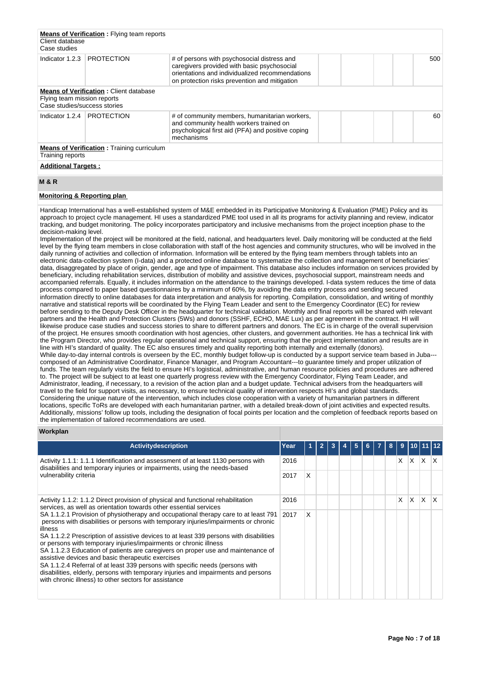| Client database<br>Case studies                             | <b>Means of Verification:</b> Flying team reports |                                                                                                                                                                                                |     |
|-------------------------------------------------------------|---------------------------------------------------|------------------------------------------------------------------------------------------------------------------------------------------------------------------------------------------------|-----|
| Indicator 1.2.3                                             | <b>PROTECTION</b>                                 | # of persons with psychosocial distress and<br>caregivers provided with basic psychosocial<br>orientations and individualized recommendations<br>on protection risks prevention and mitigation | 500 |
| Flying team mission reports<br>Case studies/success stories | <b>Means of Verification: Client database</b>     |                                                                                                                                                                                                |     |
| Indicator $1.2.4$                                           | <b>PROTECTION</b>                                 | # of community members, humanitarian workers,<br>and community health workers trained on<br>psychological first aid (PFA) and positive coping<br>mechanisms                                    | 60  |
| Training reports                                            | <b>Means of Verification:</b> Training curriculum |                                                                                                                                                                                                |     |
| <b>Additional Targets:</b>                                  |                                                   |                                                                                                                                                                                                |     |

# **M & R**

## **Monitoring & Reporting plan**

Handicap International has a well-established system of M&E embedded in its Participative Monitoring & Evaluation (PME) Policy and its approach to project cycle management. HI uses a standardized PME tool used in all its programs for activity planning and review, indicator tracking, and budget monitoring. The policy incorporates participatory and inclusive mechanisms from the project inception phase to the decision-making level.

Implementation of the project will be monitored at the field, national, and headquarters level. Daily monitoring will be conducted at the field level by the flying team members in close collaboration with staff of the host agencies and community structures, who will be involved in the daily running of activities and collection of information. Information will be entered by the flying team members through tablets into an electronic data-collection system (I-data) and a protected online database to systematize the collection and management of beneficiaries' data, disaggregated by place of origin, gender, age and type of impairment. This database also includes information on services provided by beneficiary, including rehabilitation services, distribution of mobility and assistive devices, psychosocial support, mainstream needs and accompanied referrals. Equally, it includes information on the attendance to the trainings developed. I-data system reduces the time of data process compared to paper based questionnaires by a minimum of 60%, by avoiding the data entry process and sending secured information directly to online databases for data interpretation and analysis for reporting. Compilation, consolidation, and writing of monthly narrative and statistical reports will be coordinated by the Flying Team Leader and sent to the Emergency Coordinator (EC) for review before sending to the Deputy Desk Officer in the headquarter for technical validation. Monthly and final reports will be shared with relevant partners and the Health and Protection Clusters (5Ws) and donors (SSHF, ECHO, MAE Lux) as per agreement in the contract. HI will likewise produce case studies and success stories to share to different partners and donors. The EC is in charge of the overall supervision of the project. He ensures smooth coordination with host agencies, other clusters, and government authorities. He has a technical link with the Program Director, who provides regular operational and technical support, ensuring that the project implementation and results are in line with HI's standard of quality. The EC also ensures timely and quality reporting both internally and externally (donors). While day-to-day internal controls is overseen by the EC, monthly budget follow-up is conducted by a support service team based in Juba--composed of an Administrative Coordinator, Finance Manager, and Program Accountant---to guarantee timely and proper utilization of funds. The team regularly visits the field to ensure HI's logistical, administrative, and human resource policies and procedures are adhered to. The project will be subject to at least one quarterly progress review with the Emergency Coordinator, Flying Team Leader, and Administrator, leading, if necessary, to a revision of the action plan and a budget update. Technical advisers from the headquarters will travel to the field for support visits, as necessary, to ensure technical quality of intervention respects HI's and global standards. Considering the unique nature of the intervention, which includes close cooperation with a variety of humanitarian partners in different locations, specific ToRs are developed with each humanitarian partner, with a detailed break-down of joint activities and expected results. Additionally, missions' follow up tools, including the designation of focal points per location and the completion of feedback reports based on the implementation of tailored recommendations are used.

#### **Workplan**

| Activitydescription                                                                                                                                                                                                                                                                                                                                                                                                                                                                                                                                                                                                                                                                                                           | Year |   | 2 |  | 5 |  | 8 | 9 |   |    |                         |
|-------------------------------------------------------------------------------------------------------------------------------------------------------------------------------------------------------------------------------------------------------------------------------------------------------------------------------------------------------------------------------------------------------------------------------------------------------------------------------------------------------------------------------------------------------------------------------------------------------------------------------------------------------------------------------------------------------------------------------|------|---|---|--|---|--|---|---|---|----|-------------------------|
| 2016<br>Activity 1.1.1: 1.1.1 Identification and assessment of at least 1130 persons with<br>disabilities and temporary injuries or impairments, using the needs-based<br>vulnerability criteria<br>2017                                                                                                                                                                                                                                                                                                                                                                                                                                                                                                                      |      |   |   |  |   |  |   | X | X | X. | $\mathsf{I} \mathsf{X}$ |
|                                                                                                                                                                                                                                                                                                                                                                                                                                                                                                                                                                                                                                                                                                                               |      | X |   |  |   |  |   |   |   |    |                         |
| Activity 1.1.2: 1.1.2 Direct provision of physical and functional rehabilitation<br>2016<br>services, as well as orientation towards other essential services                                                                                                                                                                                                                                                                                                                                                                                                                                                                                                                                                                 |      |   |   |  |   |  |   | X | X | X. | ΙX.                     |
| SA 1.1.2.1 Provision of physiotherapy and occupational therapy care to at least 791<br>persons with disabilities or persons with temporary injuries/impairments or chronic<br>illness<br>SA 1.1.2.2 Prescription of assistive devices to at least 339 persons with disabilities<br>or persons with temporary injuries/impairments or chronic illness<br>SA 1.1.2.3 Education of patients are caregivers on proper use and maintenance of<br>assistive devices and basic therapeutic exercises<br>SA 1.1.2.4 Referral of at least 339 persons with specific needs (persons with<br>disabilities, elderly, persons with temporary injuries and impairments and persons<br>with chronic illness) to other sectors for assistance | 2017 | X |   |  |   |  |   |   |   |    |                         |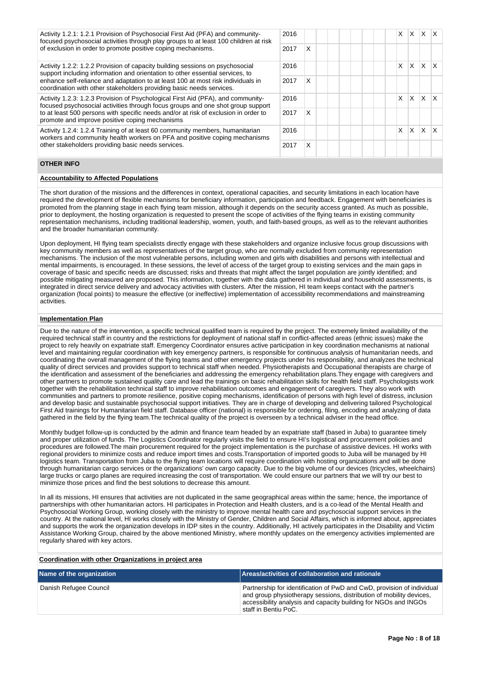| Activity 1.2.1: 1.2.1 Provision of Psychosocial First Aid (PFA) and community-<br>focused psychosocial activities through play groups to at least 100 children at risk                                                                                                                                                     | 2016 |   |  |  | X | X | X | $\mathsf{X}$ |
|----------------------------------------------------------------------------------------------------------------------------------------------------------------------------------------------------------------------------------------------------------------------------------------------------------------------------|------|---|--|--|---|---|---|--------------|
| of exclusion in order to promote positive coping mechanisms.                                                                                                                                                                                                                                                               | 2017 | X |  |  |   |   |   |              |
| Activity 1.2.2: 1.2.2 Provision of capacity building sessions on psychosocial<br>support including information and orientation to other essential services, to<br>enhance self-reliance and adaptation to at least 100 at most risk individuals in<br>coordination with other stakeholders providing basic needs services. |      |   |  |  | X | X | X |              |
|                                                                                                                                                                                                                                                                                                                            |      | X |  |  |   |   |   |              |
| Activity 1.2.3: 1.2.3 Provision of Psychological First Aid (PFA), and community-<br>focused psychosocial activities through focus groups and one shot group support                                                                                                                                                        | 2016 |   |  |  | X | X | X | X.           |
| to at least 500 persons with specific needs and/or at risk of exclusion in order to<br>promote and improve positive coping mechanisms                                                                                                                                                                                      | 2017 | X |  |  |   |   |   |              |
| Activity 1.2.4: 1.2.4 Training of at least 60 community members, humanitarian<br>workers and community health workers on PFA and positive coping mechanisms<br>other stakeholders providing basic needs services.                                                                                                          |      |   |  |  | X | X | X | X            |
|                                                                                                                                                                                                                                                                                                                            |      | X |  |  |   |   |   |              |
|                                                                                                                                                                                                                                                                                                                            |      |   |  |  |   |   |   |              |

#### **OTHER INFO**

#### **Accountability to Affected Populations**

The short duration of the missions and the differences in context, operational capacities, and security limitations in each location have required the development of flexible mechanisms for beneficiary information, participation and feedback. Engagement with beneficiaries is promoted from the planning stage in each flying team mission, although it depends on the security access granted. As much as possible, prior to deployment, the hosting organization is requested to present the scope of activities of the flying teams in existing community representation mechanisms, including traditional leadership, women, youth, and faith-based groups, as well as to the relevant authorities and the broader humanitarian community.

Upon deployment, HI flying team specialists directly engage with these stakeholders and organize inclusive focus group discussions with key community members as well as representatives of the target group, who are normally excluded from community representation mechanisms. The inclusion of the most vulnerable persons, including women and girls with disabilities and persons with intellectual and mental impairments, is encouraged. In these sessions, the level of access of the target group to existing services and the main gaps in coverage of basic and specific needs are discussed; risks and threats that might affect the target population are jointly identified; and possible mitigating measured are proposed. This information, together with the data gathered in individual and household assessments, is integrated in direct service delivery and advocacy activities with clusters. After the mission, HI team keeps contact with the partner's organization (focal points) to measure the effective (or ineffective) implementation of accessibility recommendations and mainstreaming activities.

#### **Implementation Plan**

Due to the nature of the intervention, a specific technical qualified team is required by the project. The extremely limited availability of the required technical staff in country and the restrictions for deployment of national staff in conflict-affected areas (ethnic issues) make the project to rely heavily on expatriate staff. Emergency Coordinator ensures active participation in key coordination mechanisms at national level and maintaining regular coordination with key emergency partners, is responsible for continuous analysis of humanitarian needs, and coordinating the overall management of the flying teams and other emergency projects under his responsibility, and analyzes the technical quality of direct services and provides support to technical staff when needed. Physiotherapists and Occupational therapists are charge of the identification and assessment of the beneficiaries and addressing the emergency rehabilitation plans.They engage with caregivers and other partners to promote sustained quality care and lead the trainings on basic rehabilitation skills for health field staff. Psychologists work together with the rehabilitation technical staff to improve rehabilitation outcomes and engagement of caregivers. They also work with communities and partners to promote resilience, positive coping mechanisms, identification of persons with high level of distress, inclusion and develop basic and sustainable psychosocial support initiatives. They are in charge of developing and delivering tailored Psychological First Aid trainings for Humanitarian field staff. Database officer (national) is responsible for ordering, filing, encoding and analyzing of data gathered in the field by the flying team.The technical quality of the project is overseen by a technical adviser in the head office.

Monthly budget follow-up is conducted by the admin and finance team headed by an expatriate staff (based in Juba) to guarantee timely and proper utilization of funds. The Logistics Coordinator regularly visits the field to ensure HI's logistical and procurement policies and procedures are followed.The main procurement required for the project implementation is the purchase of assistive devices. HI works with regional providers to minimize costs and reduce import times and costs.Transportation of imported goods to Juba will be managed by HI logistics team. Transportation from Juba to the flying team locations will require coordination with hosting organizations and will be done through humanitarian cargo services or the organizations' own cargo capacity. Due to the big volume of our devices (tricycles, wheelchairs) large trucks or cargo planes are required increasing the cost of transportation. We could ensure our partners that we will try our best to minimize those prices and find the best solutions to decrease this amount.

In all its missions, HI ensures that activities are not duplicated in the same geographical areas within the same; hence, the importance of partnerships with other humanitarian actors. HI participates in Protection and Health clusters, and is a co-lead of the Mental Health and Psychosocial Working Group, working closely with the ministry to improve mental health care and psychosocial support services in the country. At the national level, HI works closely with the Ministry of Gender, Children and Social Affairs, which is informed about, appreciates and supports the work the organization develops in IDP sites in the country. Additionally, HI actively participates in the Disability and Victim Assistance Working Group, chaired by the above mentioned Ministry, where monthly updates on the emergency activities implemented are regularly shared with key actors.

| Coordination with other Organizations in project area |                                                                                                                                                                                                                                           |  |  |  |  |  |
|-------------------------------------------------------|-------------------------------------------------------------------------------------------------------------------------------------------------------------------------------------------------------------------------------------------|--|--|--|--|--|
| Name of the organization                              | Areas/activities of collaboration and rationale                                                                                                                                                                                           |  |  |  |  |  |
| Danish Refugee Council                                | Partnership for identification of PwD and CwD, provision of individual<br>and group physiotherapy sessions, distribution of mobility devices,<br>accessibility analysis and capacity building for NGOs and INGOs<br>Istaff in Bentiu PoC. |  |  |  |  |  |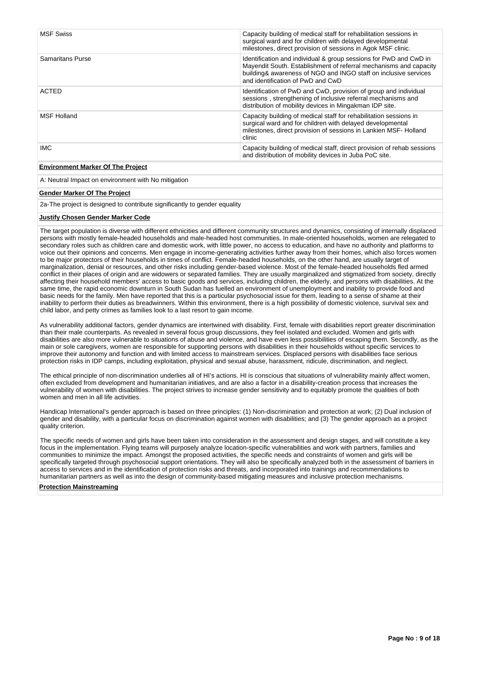| <b>MSF Swiss</b>                   | Capacity building of medical staff for rehabilitation sessions in<br>surgical ward and for children with delayed developmental<br>milestones, direct provision of sessions in Agok MSF clinic.                                                 |
|------------------------------------|------------------------------------------------------------------------------------------------------------------------------------------------------------------------------------------------------------------------------------------------|
| <b>Samaritans Purse</b>            | Identification and individual & group sessions for PwD and CwD in<br>Mayendit South. Establishment of referral mechanisms and capacity<br>building& awareness of NGO and INGO staff on inclusive services<br>and identification of PwD and CwD |
| <b>ACTED</b>                       | Identification of PwD and CwD, provision of group and individual<br>sessions, strengthening of inclusive referral mechanisms and<br>distribution of mobility devices in Mingakman IDP site.                                                    |
| <b>MSF Holland</b>                 | Capacity building of medical staff for rehabilitation sessions in<br>surgical ward and for children with delayed developmental<br>milestones, direct provision of sessions in Lankien MSF-Holland<br>clinic                                    |
| <b>IMC</b>                         | Capacity building of medical staff, direct provision of rehab sessions<br>and distribution of mobility devices in Juba PoC site.                                                                                                               |
| Fordermore Medical Of The Business |                                                                                                                                                                                                                                                |

#### **Environment Marker Of The Project**

A: Neutral Impact on environment with No mitigation

## **Gender Marker Of The Project**

2a-The project is designed to contribute significantly to gender equality

# **Justify Chosen Gender Marker Code**

The target population is diverse with different ethnicities and different community structures and dynamics, consisting of internally displaced persons with mostly female-headed households and male-headed host communities. In male-oriented households, women are relegated to secondary roles such as children care and domestic work, with little power, no access to education, and have no authority and platforms to voice out their opinions and concerns. Men engage in income-generating activities further away from their homes, which also forces women to be major protectors of their households in times of conflict. Female-headed households, on the other hand, are usually target of marginalization, denial or resources, and other risks including gender-based violence. Most of the female-headed households fled armed conflict in their places of origin and are widowers or separated families. They are usually marginalized and stigmatized from society, directly affecting their household members' access to basic goods and services, including children, the elderly, and persons with disabilities. At the same time, the rapid economic downturn in South Sudan has fuelled an environment of unemployment and inability to provide food and basic needs for the family. Men have reported that this is a particular psychosocial issue for them, leading to a sense of shame at their inability to perform their duties as breadwinners. Within this environment, there is a high possibility of domestic violence, survival sex and child labor, and petty crimes as families look to a last resort to gain income.

As vulnerability additional factors, gender dynamics are intertwined with disability. First, female with disabilities report greater discrimination than their male counterparts. As revealed in several focus group discussions, they feel isolated and excluded. Women and girls with disabilities are also more vulnerable to situations of abuse and violence, and have even less possibilities of escaping them. Secondly, as the main or sole caregivers, women are responsible for supporting persons with disabilities in their households without specific services to improve their autonomy and function and with limited access to mainstream services. Displaced persons with disabilities face serious protection risks in IDP camps, including exploitation, physical and sexual abuse, harassment, ridicule, discrimination, and neglect.

The ethical principle of non-discrimination underlies all of HI's actions. HI is conscious that situations of vulnerability mainly affect women, often excluded from development and humanitarian initiatives, and are also a factor in a disability-creation process that increases the vulnerability of women with disabilities. The project strives to increase gender sensitivity and to equitably promote the qualities of both women and men in all life activities.

Handicap International's gender approach is based on three principles: (1) Non-discrimination and protection at work; (2) Dual inclusion of gender and disability, with a particular focus on discrimination against women with disabilities; and (3) The gender approach as a project quality criterion.

The specific needs of women and girls have been taken into consideration in the assessment and design stages, and will constitute a key focus in the implementation. Flying teams will purposely analyze location-specific vulnerabilities and work with partners, families and communities to minimize the impact. Amongst the proposed activities, the specific needs and constraints of women and girls will be specifically targeted through psychosocial support orientations. They will also be specifically analyzed both in the assessment of barriers in access to services and in the identification of protection risks and threats, and incorporated into trainings and recommendations to humanitarian partners as well as into the design of community-based mitigating measures and inclusive protection mechanisms.

#### **Protection Mainstreaming**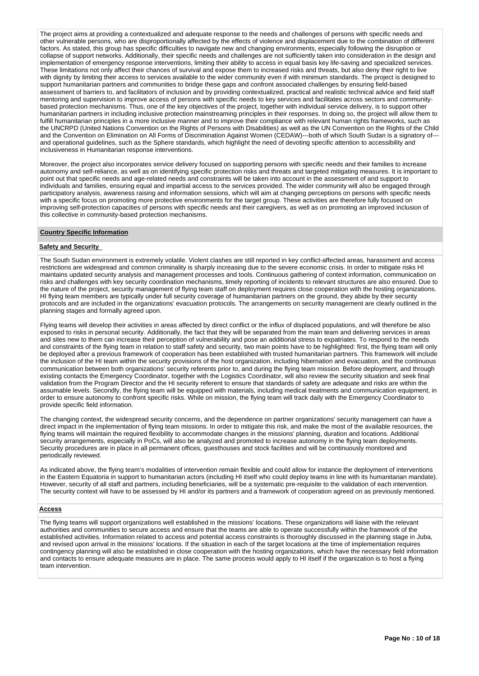The project aims at providing a contextualized and adequate response to the needs and challenges of persons with specific needs and other vulnerable persons, who are disproportionally affected by the effects of violence and displacement due to the combination of different factors. As stated, this group has specific difficulties to navigate new and changing environments, especially following the disruption or collapse of support networks. Additionally, their specific needs and challenges are not sufficiently taken into consideration in the design and implementation of emergency response interventions, limiting their ability to access in equal basis key life-saving and specialized services. These limitations not only affect their chances of survival and expose them to increased risks and threats, but also deny their right to live with dignity by limiting their access to services available to the wider community even if with minimum standards. The project is designed to support humanitarian partners and communities to bridge these gaps and confront associated challenges by ensuring field-based assessment of barriers to, and facilitators of inclusion and by providing contextualized, practical and realistic technical advice and field staff mentoring and supervision to improve access of persons with specific needs to key services and facilitates across sectors and communitybased protection mechanisms. Thus, one of the key objectives of the project, together with individual service delivery, is to support other humanitarian partners in including inclusive protection mainstreaming principles in their responses. In doing so, the project will allow them to fulfill humanitarian principles in a more inclusive manner and to improve their compliance with relevant human rights frameworks, such as the UNCRPD (United Nations Convention on the Rights of Persons with Disabilities) as well as the UN Convention on the Rights of the Child and the Convention on Elimination on All Forms of Discrimination Against Women (CEDAW)---both of which South Sudan is a signatory of-- and operational guidelines, such as the Sphere standards, which highlight the need of devoting specific attention to accessibility and inclusiveness in Humanitarian response interventions.

Moreover, the project also incorporates service delivery focused on supporting persons with specific needs and their families to increase autonomy and self-reliance, as well as on identifying specific protection risks and threats and targeted mitigating measures. It is important to point out that specific needs and age-related needs and constraints will be taken into account in the assessment of and support to individuals and families, ensuring equal and impartial access to the services provided. The wider community will also be engaged through participatory analysis, awareness raising and information sessions, which will aim at changing perceptions on persons with specific needs with a specific focus on promoting more protective environments for the target group. These activities are therefore fully focused on improving self-protection capacities of persons with specific needs and their caregivers, as well as on promoting an improved inclusion of this collective in community-based protection mechanisms.

## **Country Specific Information**

#### **Safety and Security**

The South Sudan environment is extremely volatile. Violent clashes are still reported in key conflict-affected areas, harassment and access restrictions are widespread and common criminality is sharply increasing due to the severe economic crisis. In order to mitigate risks HI maintains updated security analysis and management processes and tools. Continuous gathering of context information, communication on risks and challenges with key security coordination mechanisms, timely reporting of incidents to relevant structures are also ensured. Due to the nature of the project, security management of flying team staff on deployment requires close cooperation with the hosting organizations. HI flying team members are typically under full security coverage of humanitarian partners on the ground, they abide by their security protocols and are included in the organizations' evacuation protocols. The arrangements on security management are clearly outlined in the planning stages and formally agreed upon.

Flying teams will develop their activities in areas affected by direct conflict or the influx of displaced populations, and will therefore be also exposed to risks in personal security. Additionally, the fact that they will be separated from the main team and delivering services in areas and sites new to them can increase their perception of vulnerability and pose an additional stress to expatriates. To respond to the needs and constraints of the flying team in relation to staff safety and security, two main points have to be highlighted: first, the flying team will only be deployed after a previous framework of cooperation has been established with trusted humanitarian partners. This framework will include the inclusion of the HI team within the security provisions of the host organization, including hibernation and evacuation, and the continuous communication between both organizations' security referents prior to, and during the flying team mission. Before deployment, and through existing contacts the Emergency Coordinator, together with the Logistics Coordinator, will also review the security situation and seek final validation from the Program Director and the HI security referent to ensure that standards of safety are adequate and risks are within the assumable levels. Secondly, the flying team will be equipped with materials, including medical treatments and communication equipment, in order to ensure autonomy to confront specific risks. While on mission, the flying team will track daily with the Emergency Coordinator to provide specific field information.

The changing context, the widespread security concerns, and the dependence on partner organizations' security management can have a direct impact in the implementation of flying team missions. In order to mitigate this risk, and make the most of the available resources, the flying teams will maintain the required flexibility to accommodate changes in the missions' planning, duration and locations. Additional security arrangements, especially in PoCs, will also be analyzed and promoted to increase autonomy in the flying team deployments. Security procedures are in place in all permanent offices, guesthouses and stock facilities and will be continuously monitored and periodically reviewed.

As indicated above, the flying team's modalities of intervention remain flexible and could allow for instance the deployment of interventions in the Eastern Equatoria in support to humanitarian actors (including HI itself who could deploy teams in line with its humanitarian mandate). However, security of all staff and partners, including beneficiaries, will be a systematic pre-requisite to the validation of each intervention. The security context will have to be assessed by HI and/or its partners and a framework of cooperation agreed on as previously mentioned.

#### **Access**

The flying teams will support organizations well established in the missions' locations. These organizations will liaise with the relevant authorities and communities to secure access and ensure that the teams are able to operate successfully within the framework of the established activities. Information related to access and potential access constraints is thoroughly discussed in the planning stage in Juba, and revised upon arrival in the missions' locations. If the situation in each of the target locations at the time of implementation requires contingency planning will also be established in close cooperation with the hosting organizations, which have the necessary field information and contacts to ensure adequate measures are in place. The same process would apply to HI itself if the organization is to host a flying team intervention.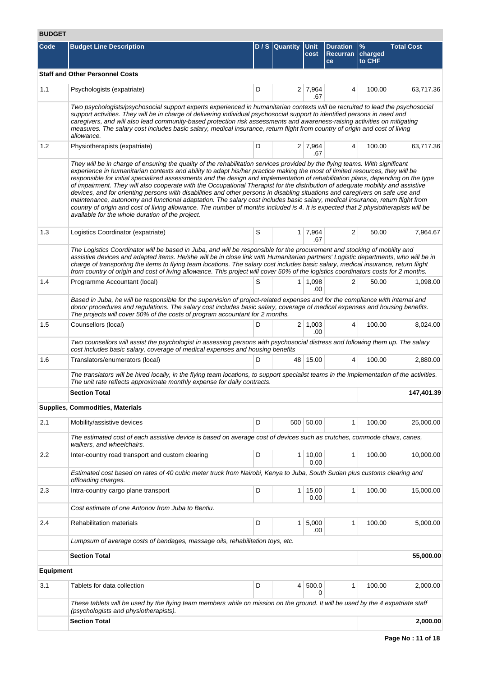# **BUDGET**

| Code             | <b>Budget Line Description</b>                                                                                                                                                                                                                                                                                                                                                                                                                                                                                                                                                                                                                                                                                                                                                                                                                                                                                                                                                                  |                            | D / S Quantity Unit | cost                  | <b>Duration</b><br><b>Recurran</b><br>ce | $\%$<br>charged<br>to CHF | <b>Total Cost</b> |
|------------------|-------------------------------------------------------------------------------------------------------------------------------------------------------------------------------------------------------------------------------------------------------------------------------------------------------------------------------------------------------------------------------------------------------------------------------------------------------------------------------------------------------------------------------------------------------------------------------------------------------------------------------------------------------------------------------------------------------------------------------------------------------------------------------------------------------------------------------------------------------------------------------------------------------------------------------------------------------------------------------------------------|----------------------------|---------------------|-----------------------|------------------------------------------|---------------------------|-------------------|
|                  | <b>Staff and Other Personnel Costs</b>                                                                                                                                                                                                                                                                                                                                                                                                                                                                                                                                                                                                                                                                                                                                                                                                                                                                                                                                                          |                            |                     |                       |                                          |                           |                   |
| 1.1              | Psychologists (expatriate)                                                                                                                                                                                                                                                                                                                                                                                                                                                                                                                                                                                                                                                                                                                                                                                                                                                                                                                                                                      | D                          |                     | $2 \mid 7,964$<br>.67 | 4                                        | 100.00                    | 63,717.36         |
|                  | Two psychologists/psychosocial support experts experienced in humanitarian contexts will be recruited to lead the psychosocial<br>support activities. They will be in charge of delivering individual psychosocial support to identified persons in need and<br>caregivers, and will also lead community-based protection risk assessments and awareness-raising activities on mitigating<br>measures. The salary cost includes basic salary, medical insurance, return flight from country of origin and cost of living<br>allowance.                                                                                                                                                                                                                                                                                                                                                                                                                                                          |                            |                     |                       |                                          |                           |                   |
| 1.2              | Physiotherapists (expatriate)                                                                                                                                                                                                                                                                                                                                                                                                                                                                                                                                                                                                                                                                                                                                                                                                                                                                                                                                                                   | $2 \mid 7,964$<br>4<br>.67 | 100.00              | 63,717.36             |                                          |                           |                   |
|                  | They will be in charge of ensuring the quality of the rehabilitation services provided by the flying teams. With significant<br>experience in humanitarian contexts and ability to adapt his/her practice making the most of limited resources, they will be<br>responsible for initial specialized assessments and the design and implementation of rehabilitation plans, depending on the type<br>of impairment. They will also cooperate with the Occupational Therapist for the distribution of adequate mobility and assistive<br>devices, and for orienting persons with disabilities and other persons in disabling situations and caregivers on safe use and<br>maintenance, autonomy and functional adaptation. The salary cost includes basic salary, medical insurance, return flight from<br>country of origin and cost of living allowance. The number of months included is 4. It is expected that 2 physiotherapists will be<br>available for the whole duration of the project. |                            |                     |                       |                                          |                           |                   |
| 1.3              | Logistics Coordinator (expatriate)                                                                                                                                                                                                                                                                                                                                                                                                                                                                                                                                                                                                                                                                                                                                                                                                                                                                                                                                                              | S                          |                     | $1 \mid 7,964$<br>.67 | $\overline{2}$                           | 50.00                     | 7,964.67          |
|                  | The Logistics Coordinator will be based in Juba, and will be responsible for the procurement and stocking of mobility and<br>assistive devices and adapted items. He/she will be in close link with Humanitarian partners' Logistic departments, who will be in<br>charge of transporting the items to flying team locations. The salary cost includes basic salary, medical insurance, return flight<br>from country of origin and cost of living allowance. This project will cover 50% of the logistics coordinators costs for 2 months.                                                                                                                                                                                                                                                                                                                                                                                                                                                     |                            |                     |                       |                                          |                           |                   |
| 1.4              | Programme Accountant (local)                                                                                                                                                                                                                                                                                                                                                                                                                                                                                                                                                                                                                                                                                                                                                                                                                                                                                                                                                                    | S                          |                     | $1 \mid 1,098$<br>.00 | 2                                        | 50.00                     | 1,098.00          |
|                  | Based in Juba, he will be responsible for the supervision of project-related expenses and for the compliance with internal and<br>donor procedures and regulations. The salary cost includes basic salary, coverage of medical expenses and housing benefits.<br>The projects will cover 50% of the costs of program accountant for 2 months.                                                                                                                                                                                                                                                                                                                                                                                                                                                                                                                                                                                                                                                   |                            |                     |                       |                                          |                           |                   |
| 1.5              | Counsellors (local)                                                                                                                                                                                                                                                                                                                                                                                                                                                                                                                                                                                                                                                                                                                                                                                                                                                                                                                                                                             | D                          |                     | $2 \mid 1,003$<br>.00 | 4                                        | 100.00                    | 8,024.00          |
|                  | Two counsellors will assist the psychologist in assessing persons with psychosocial distress and following them up. The salary<br>cost includes basic salary, coverage of medical expenses and housing benefits                                                                                                                                                                                                                                                                                                                                                                                                                                                                                                                                                                                                                                                                                                                                                                                 |                            |                     |                       |                                          |                           |                   |
| 1.6              | Translators/enumerators (local)                                                                                                                                                                                                                                                                                                                                                                                                                                                                                                                                                                                                                                                                                                                                                                                                                                                                                                                                                                 | D                          |                     | 48 15.00              | 4                                        | 100.00                    | 2,880.00          |
|                  | The translators will be hired locally, in the flying team locations, to support specialist teams in the implementation of the activities.<br>The unit rate reflects approximate monthly expense for daily contracts.                                                                                                                                                                                                                                                                                                                                                                                                                                                                                                                                                                                                                                                                                                                                                                            |                            |                     |                       |                                          |                           |                   |
|                  | <b>Section Total</b>                                                                                                                                                                                                                                                                                                                                                                                                                                                                                                                                                                                                                                                                                                                                                                                                                                                                                                                                                                            |                            |                     |                       |                                          |                           | 147,401.39        |
|                  | <b>Supplies, Commodities, Materials</b>                                                                                                                                                                                                                                                                                                                                                                                                                                                                                                                                                                                                                                                                                                                                                                                                                                                                                                                                                         |                            |                     |                       |                                          |                           |                   |
| 2.1              | Mobility/assistive devices                                                                                                                                                                                                                                                                                                                                                                                                                                                                                                                                                                                                                                                                                                                                                                                                                                                                                                                                                                      | D                          |                     | 500 50.00             | $\mathbf{1}$                             | 100.00                    | 25,000.00         |
|                  | The estimated cost of each assistive device is based on average cost of devices such as crutches, commode chairs, canes,<br>walkers, and wheelchairs.                                                                                                                                                                                                                                                                                                                                                                                                                                                                                                                                                                                                                                                                                                                                                                                                                                           |                            |                     |                       |                                          |                           |                   |
| 2.2              | Inter-country road transport and custom clearing                                                                                                                                                                                                                                                                                                                                                                                                                                                                                                                                                                                                                                                                                                                                                                                                                                                                                                                                                | D                          |                     | 1   10,00<br>0.00     | $\mathbf{1}$                             | 100.00                    | 10,000.00         |
|                  | Estimated cost based on rates of 40 cubic meter truck from Nairobi, Kenya to Juba, South Sudan plus customs clearing and<br>offloading charges.                                                                                                                                                                                                                                                                                                                                                                                                                                                                                                                                                                                                                                                                                                                                                                                                                                                 |                            |                     |                       |                                          |                           |                   |
| 2.3              | Intra-country cargo plane transport                                                                                                                                                                                                                                                                                                                                                                                                                                                                                                                                                                                                                                                                                                                                                                                                                                                                                                                                                             | D                          | 1 <sup>1</sup>      | 15,00<br>0.00         | 1                                        | 100.00                    | 15,000.00         |
|                  | Cost estimate of one Antonov from Juba to Bentiu.                                                                                                                                                                                                                                                                                                                                                                                                                                                                                                                                                                                                                                                                                                                                                                                                                                                                                                                                               |                            |                     |                       |                                          |                           |                   |
| 2.4              | <b>Rehabilitation materials</b>                                                                                                                                                                                                                                                                                                                                                                                                                                                                                                                                                                                                                                                                                                                                                                                                                                                                                                                                                                 | D                          |                     | 1 5,000<br>.00        | 1                                        | 100.00                    | 5,000.00          |
|                  | Lumpsum of average costs of bandages, massage oils, rehabilitation toys, etc.                                                                                                                                                                                                                                                                                                                                                                                                                                                                                                                                                                                                                                                                                                                                                                                                                                                                                                                   |                            |                     |                       |                                          |                           |                   |
|                  | <b>Section Total</b>                                                                                                                                                                                                                                                                                                                                                                                                                                                                                                                                                                                                                                                                                                                                                                                                                                                                                                                                                                            |                            |                     |                       |                                          |                           | 55,000.00         |
| <b>Equipment</b> |                                                                                                                                                                                                                                                                                                                                                                                                                                                                                                                                                                                                                                                                                                                                                                                                                                                                                                                                                                                                 |                            |                     |                       |                                          |                           |                   |
| 3.1              | Tablets for data collection                                                                                                                                                                                                                                                                                                                                                                                                                                                                                                                                                                                                                                                                                                                                                                                                                                                                                                                                                                     | D                          |                     | 4   500.0<br>0        | $\mathbf{1}$                             | 100.00                    | 2,000.00          |
|                  | These tablets will be used by the flying team members while on mission on the ground. It will be used by the 4 expatriate staff<br>(psychologists and physiotherapists).                                                                                                                                                                                                                                                                                                                                                                                                                                                                                                                                                                                                                                                                                                                                                                                                                        |                            |                     |                       |                                          |                           |                   |
|                  | <b>Section Total</b>                                                                                                                                                                                                                                                                                                                                                                                                                                                                                                                                                                                                                                                                                                                                                                                                                                                                                                                                                                            |                            |                     |                       |                                          |                           | 2,000.00          |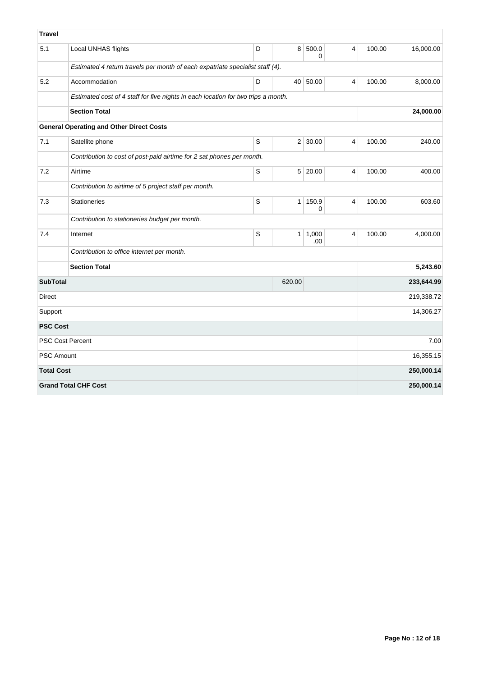| <b>Travel</b>             |                                                                                   |             |                |                |                |        |            |
|---------------------------|-----------------------------------------------------------------------------------|-------------|----------------|----------------|----------------|--------|------------|
| 5.1                       | Local UNHAS flights                                                               | D           |                | 8 500.0<br>0   | $\overline{4}$ | 100.00 | 16,000.00  |
|                           | Estimated 4 return travels per month of each expatriate specialist staff (4).     |             |                |                |                |        |            |
| 5.2                       | Accommodation                                                                     | D           | 40             | 50.00          | 4              | 100.00 | 8,000.00   |
|                           | Estimated cost of 4 staff for five nights in each location for two trips a month. |             |                |                |                |        |            |
|                           | <b>Section Total</b>                                                              |             |                | 24,000.00      |                |        |            |
|                           | <b>General Operating and Other Direct Costs</b>                                   |             |                |                |                |        |            |
| 7.1                       | Satellite phone                                                                   | S           |                | $2 \mid 30.00$ | 4              | 100.00 | 240.00     |
|                           | Contribution to cost of post-paid airtime for 2 sat phones per month.             |             |                |                |                |        |            |
| 7.2                       | Airtime                                                                           | $\mathbf S$ |                | 5 20.00        | 4              | 100.00 | 400.00     |
|                           | Contribution to airtime of 5 project staff per month.                             |             |                |                |                |        |            |
| 7.3                       | <b>Stationeries</b>                                                               | $\mathsf S$ | $\mathbf{1}$   | 150.9<br>0     | $\overline{4}$ | 100.00 | 603.60     |
|                           | Contribution to stationeries budget per month.                                    |             |                |                |                |        |            |
| 7.4                       | Internet                                                                          | S           | 1 <sup>1</sup> | 1,000<br>.00   | $\overline{4}$ | 100.00 | 4,000.00   |
|                           | Contribution to office internet per month.                                        |             |                |                |                |        |            |
|                           | <b>Section Total</b>                                                              |             |                |                |                |        | 5,243.60   |
| <b>SubTotal</b><br>620.00 |                                                                                   |             |                |                |                |        | 233,644.99 |
| <b>Direct</b>             |                                                                                   |             |                | 219,338.72     |                |        |            |
| Support                   |                                                                                   |             |                |                |                |        | 14,306.27  |
| <b>PSC Cost</b>           |                                                                                   |             |                |                |                |        |            |
|                           | <b>PSC Cost Percent</b>                                                           |             |                |                |                |        | 7.00       |
| <b>PSC Amount</b>         |                                                                                   |             |                |                |                |        | 16,355.15  |
| <b>Total Cost</b>         |                                                                                   |             |                |                |                |        | 250,000.14 |
|                           | <b>Grand Total CHF Cost</b>                                                       |             |                |                |                |        | 250,000.14 |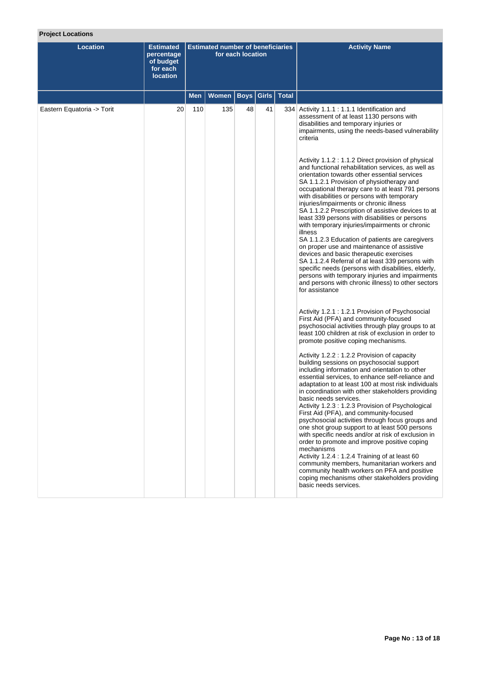# **Project Locations**

| <b>Location</b>            | <b>Estimated</b><br>percentage<br>of budget<br>for each<br><b>location</b> |     | <b>Estimated number of beneficiaries</b> | for each location |       |              | <b>Activity Name</b>                                                                                                                                                                                                                                                                                                                                                                                                                                                                                                                                                                                                                                                                                                                                                                                                                                                                                                                                                                                                                                                                                                                                                                                                                                                                                                                                                                                                                                                                                                                                                                                                                                                                                                                                                                                                                                                                                                                                                                                                                                                                                                                                                                                                                                           |
|----------------------------|----------------------------------------------------------------------------|-----|------------------------------------------|-------------------|-------|--------------|----------------------------------------------------------------------------------------------------------------------------------------------------------------------------------------------------------------------------------------------------------------------------------------------------------------------------------------------------------------------------------------------------------------------------------------------------------------------------------------------------------------------------------------------------------------------------------------------------------------------------------------------------------------------------------------------------------------------------------------------------------------------------------------------------------------------------------------------------------------------------------------------------------------------------------------------------------------------------------------------------------------------------------------------------------------------------------------------------------------------------------------------------------------------------------------------------------------------------------------------------------------------------------------------------------------------------------------------------------------------------------------------------------------------------------------------------------------------------------------------------------------------------------------------------------------------------------------------------------------------------------------------------------------------------------------------------------------------------------------------------------------------------------------------------------------------------------------------------------------------------------------------------------------------------------------------------------------------------------------------------------------------------------------------------------------------------------------------------------------------------------------------------------------------------------------------------------------------------------------------------------------|
|                            |                                                                            | Men | Women                                    | <b>Boys</b>       | Girls | <b>Total</b> |                                                                                                                                                                                                                                                                                                                                                                                                                                                                                                                                                                                                                                                                                                                                                                                                                                                                                                                                                                                                                                                                                                                                                                                                                                                                                                                                                                                                                                                                                                                                                                                                                                                                                                                                                                                                                                                                                                                                                                                                                                                                                                                                                                                                                                                                |
| Eastern Equatoria -> Torit | 20                                                                         | 110 | 135                                      | 48                | 41    |              | 334 Activity 1.1.1 : 1.1.1 Identification and<br>assessment of at least 1130 persons with<br>disabilities and temporary injuries or<br>impairments, using the needs-based vulnerability<br>criteria<br>Activity 1.1.2: 1.1.2 Direct provision of physical<br>and functional rehabilitation services, as well as<br>orientation towards other essential services<br>SA 1.1.2.1 Provision of physiotherapy and<br>occupational therapy care to at least 791 persons<br>with disabilities or persons with temporary<br>injuries/impairments or chronic illness<br>SA 1.1.2.2 Prescription of assistive devices to at<br>least 339 persons with disabilities or persons<br>with temporary injuries/impairments or chronic<br>illness<br>SA 1.1.2.3 Education of patients are caregivers<br>on proper use and maintenance of assistive<br>devices and basic therapeutic exercises<br>SA 1.1.2.4 Referral of at least 339 persons with<br>specific needs (persons with disabilities, elderly,<br>persons with temporary injuries and impairments<br>and persons with chronic illness) to other sectors<br>for assistance<br>Activity 1.2.1 : 1.2.1 Provision of Psychosocial<br>First Aid (PFA) and community-focused<br>psychosocial activities through play groups to at<br>least 100 children at risk of exclusion in order to<br>promote positive coping mechanisms.<br>Activity 1.2.2 : 1.2.2 Provision of capacity<br>building sessions on psychosocial support<br>including information and orientation to other<br>essential services, to enhance self-reliance and<br>adaptation to at least 100 at most risk individuals<br>in coordination with other stakeholders providing<br>basic needs services.<br>Activity 1.2.3: 1.2.3 Provision of Psychological<br>First Aid (PFA), and community-focused<br>psychosocial activities through focus groups and<br>one shot group support to at least 500 persons<br>with specific needs and/or at risk of exclusion in<br>order to promote and improve positive coping<br>mechanisms<br>Activity 1.2.4 : 1.2.4 Training of at least 60<br>community members, humanitarian workers and<br>community health workers on PFA and positive<br>coping mechanisms other stakeholders providing<br>basic needs services. |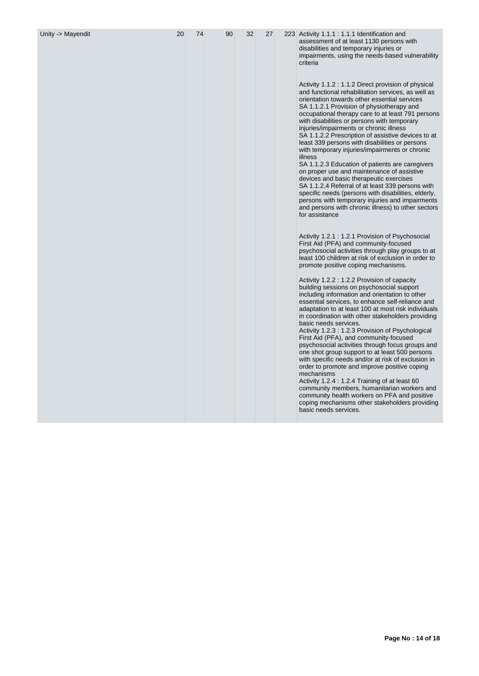| Unity -> Mayendit | 20 | 74 | 90 | 32 | 27 | 223 Activity 1.1.1 : 1.1.1 Identification and<br>assessment of at least 1130 persons with<br>disabilities and temporary injuries or<br>impairments, using the needs-based vulnerability<br>criteria<br>Activity 1.1.2 : 1.1.2 Direct provision of physical<br>and functional rehabilitation services, as well as<br>orientation towards other essential services<br>SA 1.1.2.1 Provision of physiotherapy and<br>occupational therapy care to at least 791 persons<br>with disabilities or persons with temporary<br>injuries/impairments or chronic illness<br>SA 1.1.2.2 Prescription of assistive devices to at<br>least 339 persons with disabilities or persons<br>with temporary injuries/impairments or chronic<br>illness<br>SA 1.1.2.3 Education of patients are caregivers<br>on proper use and maintenance of assistive<br>devices and basic therapeutic exercises<br>SA 1.1.2.4 Referral of at least 339 persons with<br>specific needs (persons with disabilities, elderly,                                   |
|-------------------|----|----|----|----|----|----------------------------------------------------------------------------------------------------------------------------------------------------------------------------------------------------------------------------------------------------------------------------------------------------------------------------------------------------------------------------------------------------------------------------------------------------------------------------------------------------------------------------------------------------------------------------------------------------------------------------------------------------------------------------------------------------------------------------------------------------------------------------------------------------------------------------------------------------------------------------------------------------------------------------------------------------------------------------------------------------------------------------|
|                   |    |    |    |    |    | persons with temporary injuries and impairments<br>and persons with chronic illness) to other sectors<br>for assistance<br>Activity 1.2.1 : 1.2.1 Provision of Psychosocial<br>First Aid (PFA) and community-focused<br>psychosocial activities through play groups to at<br>least 100 children at risk of exclusion in order to<br>promote positive coping mechanisms.<br>Activity 1.2.2 : 1.2.2 Provision of capacity<br>building sessions on psychosocial support<br>including information and orientation to other<br>essential services, to enhance self-reliance and<br>adaptation to at least 100 at most risk individuals<br>in coordination with other stakeholders providing<br>basic needs services.<br>Activity 1.2.3 : 1.2.3 Provision of Psychological<br>First Aid (PFA), and community-focused<br>psychosocial activities through focus groups and<br>one shot group support to at least 500 persons<br>with specific needs and/or at risk of exclusion in<br>order to promote and improve positive coping |
|                   |    |    |    |    |    | mechanisms<br>Activity 1.2.4 : 1.2.4 Training of at least 60<br>community members, humanitarian workers and<br>community health workers on PFA and positive<br>coping mechanisms other stakeholders providing<br>basic needs services.                                                                                                                                                                                                                                                                                                                                                                                                                                                                                                                                                                                                                                                                                                                                                                                     |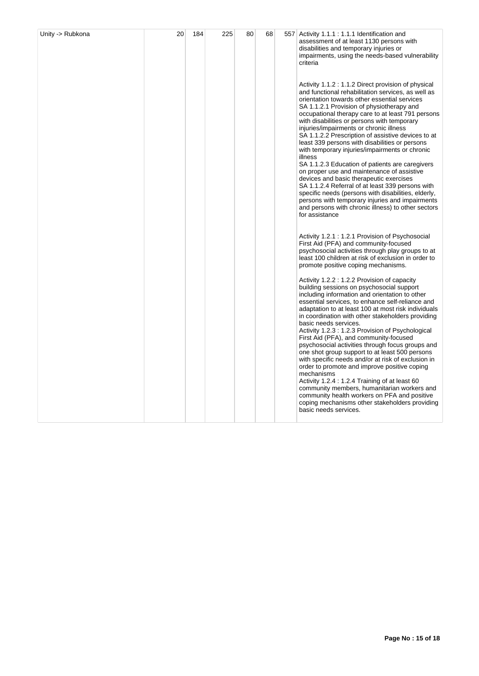| Unity -> Rubkona | 20 | 184 | 225 | 80 | 68 | 557 Activity 1.1.1 : 1.1.1 Identification and<br>assessment of at least 1130 persons with<br>disabilities and temporary injuries or<br>impairments, using the needs-based vulnerability<br>criteria                                                                                                                                                                                                                                                                                                                                                                                                                                                                                                                                                                                                                                                                                                          |
|------------------|----|-----|-----|----|----|--------------------------------------------------------------------------------------------------------------------------------------------------------------------------------------------------------------------------------------------------------------------------------------------------------------------------------------------------------------------------------------------------------------------------------------------------------------------------------------------------------------------------------------------------------------------------------------------------------------------------------------------------------------------------------------------------------------------------------------------------------------------------------------------------------------------------------------------------------------------------------------------------------------|
|                  |    |     |     |    |    | Activity 1.1.2 : 1.1.2 Direct provision of physical<br>and functional rehabilitation services, as well as<br>orientation towards other essential services<br>SA 1.1.2.1 Provision of physiotherapy and<br>occupational therapy care to at least 791 persons<br>with disabilities or persons with temporary<br>injuries/impairments or chronic illness<br>SA 1.1.2.2 Prescription of assistive devices to at<br>least 339 persons with disabilities or persons<br>with temporary injuries/impairments or chronic<br>illness<br>SA 1.1.2.3 Education of patients are caregivers<br>on proper use and maintenance of assistive<br>devices and basic therapeutic exercises<br>SA 1.1.2.4 Referral of at least 339 persons with<br>specific needs (persons with disabilities, elderly,<br>persons with temporary injuries and impairments<br>and persons with chronic illness) to other sectors<br>for assistance |
|                  |    |     |     |    |    | Activity 1.2.1 : 1.2.1 Provision of Psychosocial<br>First Aid (PFA) and community-focused<br>psychosocial activities through play groups to at<br>least 100 children at risk of exclusion in order to<br>promote positive coping mechanisms.                                                                                                                                                                                                                                                                                                                                                                                                                                                                                                                                                                                                                                                                 |
|                  |    |     |     |    |    | Activity 1.2.2 : 1.2.2 Provision of capacity<br>building sessions on psychosocial support<br>including information and orientation to other<br>essential services, to enhance self-reliance and<br>adaptation to at least 100 at most risk individuals<br>in coordination with other stakeholders providing<br>basic needs services.<br>Activity 1.2.3 : 1.2.3 Provision of Psychological<br>First Aid (PFA), and community-focused<br>psychosocial activities through focus groups and<br>one shot group support to at least 500 persons<br>with specific needs and/or at risk of exclusion in<br>order to promote and improve positive coping<br>mechanisms<br>Activity 1.2.4 : 1.2.4 Training of at least 60<br>community members, humanitarian workers and<br>community health workers on PFA and positive<br>coping mechanisms other stakeholders providing<br>basic needs services.                    |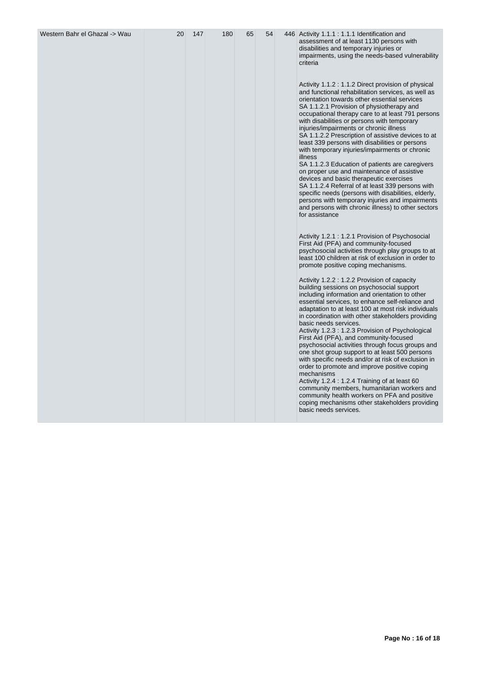| Western Bahr el Ghazal -> Wau | 20 | 147 | 180 | 65 | 54 | 446 Activity 1.1.1 : 1.1.1 Identification and<br>assessment of at least 1130 persons with<br>disabilities and temporary injuries or<br>impairments, using the needs-based vulnerability<br>criteria<br>Activity 1.1.2 : 1.1.2 Direct provision of physical<br>and functional rehabilitation services, as well as<br>orientation towards other essential services<br>SA 1.1.2.1 Provision of physiotherapy and<br>occupational therapy care to at least 791 persons<br>with disabilities or persons with temporary<br>injuries/impairments or chronic illness<br>SA 1.1.2.2 Prescription of assistive devices to at<br>least 339 persons with disabilities or persons<br>with temporary injuries/impairments or chronic<br>illness<br>SA 1.1.2.3 Education of patients are caregivers<br>on proper use and maintenance of assistive<br>devices and basic therapeutic exercises<br>SA 1.1.2.4 Referral of at least 339 persons with<br>specific needs (persons with disabilities, elderly,<br>persons with temporary injuries and impairments<br>and persons with chronic illness) to other sectors<br>for assistance<br>Activity 1.2.1 : 1.2.1 Provision of Psychosocial<br>First Aid (PFA) and community-focused<br>psychosocial activities through play groups to at |
|-------------------------------|----|-----|-----|----|----|-----------------------------------------------------------------------------------------------------------------------------------------------------------------------------------------------------------------------------------------------------------------------------------------------------------------------------------------------------------------------------------------------------------------------------------------------------------------------------------------------------------------------------------------------------------------------------------------------------------------------------------------------------------------------------------------------------------------------------------------------------------------------------------------------------------------------------------------------------------------------------------------------------------------------------------------------------------------------------------------------------------------------------------------------------------------------------------------------------------------------------------------------------------------------------------------------------------------------------------------------------------------------|
|                               |    |     |     |    |    | least 100 children at risk of exclusion in order to<br>promote positive coping mechanisms.<br>Activity 1.2.2 : 1.2.2 Provision of capacity<br>building sessions on psychosocial support<br>including information and orientation to other<br>essential services, to enhance self-reliance and<br>adaptation to at least 100 at most risk individuals<br>in coordination with other stakeholders providing<br>basic needs services.<br>Activity 1.2.3 : 1.2.3 Provision of Psychological<br>First Aid (PFA), and community-focused<br>psychosocial activities through focus groups and<br>one shot group support to at least 500 persons<br>with specific needs and/or at risk of exclusion in<br>order to promote and improve positive coping<br>mechanisms<br>Activity 1.2.4 : 1.2.4 Training of at least 60<br>community members, humanitarian workers and<br>community health workers on PFA and positive<br>coping mechanisms other stakeholders providing<br>basic needs services.                                                                                                                                                                                                                                                                               |